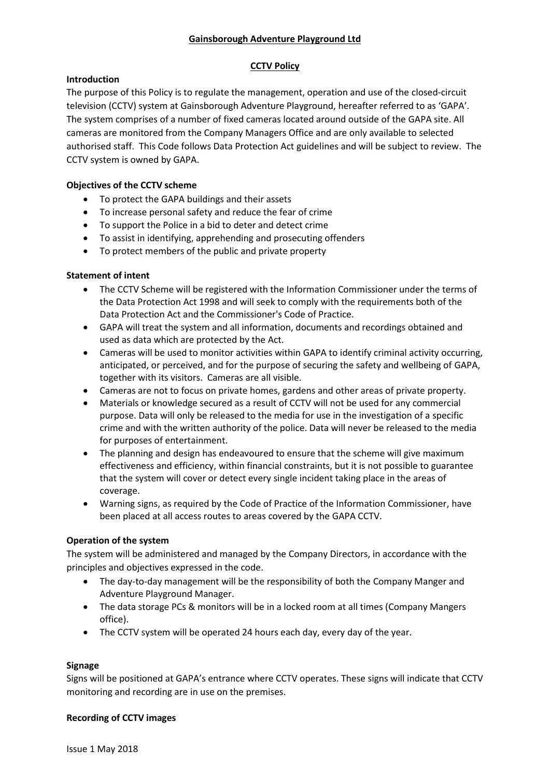## **Gainsborough Adventure Playground Ltd**

## **CCTV Policy**

## **Introduction**

The purpose of this Policy is to regulate the management, operation and use of the closed-circuit television (CCTV) system at Gainsborough Adventure Playground, hereafter referred to as 'GAPA'. The system comprises of a number of fixed cameras located around outside of the GAPA site. All cameras are monitored from the Company Managers Office and are only available to selected authorised staff. This Code follows Data Protection Act guidelines and will be subject to review. The CCTV system is owned by GAPA.

## **Objectives of the CCTV scheme**

- To protect the GAPA buildings and their assets
- To increase personal safety and reduce the fear of crime
- To support the Police in a bid to deter and detect crime
- To assist in identifying, apprehending and prosecuting offenders
- To protect members of the public and private property

#### **Statement of intent**

- The CCTV Scheme will be registered with the Information Commissioner under the terms of the Data Protection Act 1998 and will seek to comply with the requirements both of the Data Protection Act and the Commissioner's Code of Practice.
- GAPA will treat the system and all information, documents and recordings obtained and used as data which are protected by the Act.
- Cameras will be used to monitor activities within GAPA to identify criminal activity occurring, anticipated, or perceived, and for the purpose of securing the safety and wellbeing of GAPA, together with its visitors. Cameras are all visible.
- Cameras are not to focus on private homes, gardens and other areas of private property.
- Materials or knowledge secured as a result of CCTV will not be used for any commercial purpose. Data will only be released to the media for use in the investigation of a specific crime and with the written authority of the police. Data will never be released to the media for purposes of entertainment.
- The planning and design has endeavoured to ensure that the scheme will give maximum effectiveness and efficiency, within financial constraints, but it is not possible to guarantee that the system will cover or detect every single incident taking place in the areas of coverage.
- Warning signs, as required by the Code of Practice of the Information Commissioner, have been placed at all access routes to areas covered by the GAPA CCTV.

#### **Operation of the system**

The system will be administered and managed by the Company Directors, in accordance with the principles and objectives expressed in the code.

- The day-to-day management will be the responsibility of both the Company Manger and Adventure Playground Manager.
- The data storage PCs & monitors will be in a locked room at all times (Company Mangers office).
- The CCTV system will be operated 24 hours each day, every day of the year.

#### **Signage**

Signs will be positioned at GAPA's entrance where CCTV operates. These signs will indicate that CCTV monitoring and recording are in use on the premises.

#### **Recording of CCTV images**